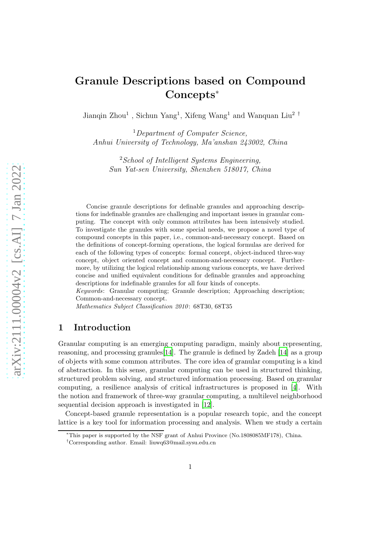# Granule Descriptions based on Compound Concepts<sup>∗</sup>

Jianqin Zhou<sup>1</sup>, Sichun Yang<sup>1</sup>, Xifeng Wang<sup>1</sup> and Wanquan Liu<sup>2</sup><sup>†</sup>

<sup>1</sup>Department of Computer Science, Anhui University of Technology, Ma'anshan 243002, China

<sup>2</sup>School of Intelligent Systems Engineering, Sun Yat-sen University, Shenzhen 518017, China

Concise granule descriptions for definable granules and approaching descriptions for indefinable granules are challenging and important issues in granular computing. The concept with only common attributes has been intensively studied. To investigate the granules with some special needs, we propose a novel type of compound concepts in this paper, i.e., common-and-necessary concept. Based on the definitions of concept-forming operations, the logical formulas are derived for each of the following types of concepts: formal concept, object-induced three-way concept, object oriented concept and common-and-necessary concept. Furthermore, by utilizing the logical relationship among various concepts, we have derived concise and unified equivalent conditions for definable granules and approaching descriptions for indefinable granules for all four kinds of concepts.

*Keywords*: Granular computing; Granule description; Approaching description; Common-and-necessary concept.

*Mathematics Subject Classification 2010*: 68T30, 68T35

# 1 Introduction

Granular computing is an emerging computing paradigm, mainly about representing, reasoning, and processing granules  $[14]$ . The granule is defined by Zadeh  $[14]$  as a group of objects with some common attributes. The core idea of granular computing is a kind of abstraction. In this sense, granular computing can be used in structured thinking, structured problem solving, and structured information processing. Based on granular computing, a resilience analysis of critical infrastructures is proposed in [\[4](#page-15-1)]. With the notion and framework of three-way granular computing, a multilevel neighborhood sequential decision approach is investigated in [\[12\]](#page-15-2).

Concept-based granule representation is a popular research topic, and the concept lattice is a key tool for information processing and analysis. When we study a certain

<sup>∗</sup>This paper is supported by the NSF grant of Anhui Province (No.1808085MF178), China.

<sup>†</sup>Corresponding author. Email: liuwq63@mail.sysu.edu.cn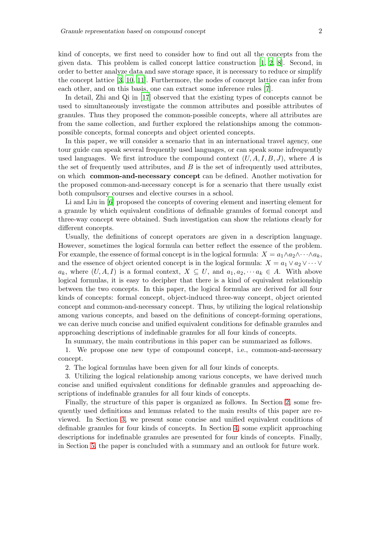kind of concepts, we first need to consider how to find out all the concepts from the given data. This problem is called concept lattice construction [\[1,](#page-14-0) [2,](#page-14-1) [8\]](#page-15-3). Second, in order to better analyze data and save storage space, it is necessary to reduce or simplify the concept lattice [\[3](#page-15-4), [10](#page-15-5), [11\]](#page-15-6). Furthermore, the nodes of concept lattice can infer from each other, and on this basis, one can extract some inference rules [\[7](#page-15-7)].

In detail, Zhi and Qi in [\[17](#page-15-8)] observed that the existing types of concepts cannot be used to simultaneously investigate the common attributes and possible attributes of granules. Thus they proposed the common-possible concepts, where all attributes are from the same collection, and further explored the relationships among the commonpossible concepts, formal concepts and object oriented concepts.

In this paper, we will consider a scenario that in an international travel agency, one tour guide can speak several frequently used languages, or can speak some infrequently used languages. We first introduce the compound context  $(U, A, I, B, J)$ , where A is the set of frequently used attributes, and  $B$  is the set of infrequently used attributes, on which common-and-necessary concept can be defined. Another motivation for the proposed common-and-necessary concept is for a scenario that there usually exist both compulsory courses and elective courses in a school.

Li and Liu in [\[6](#page-15-9)] proposed the concepts of covering element and inserting element for a granule by which equivalent conditions of definable granules of formal concept and three-way concept were obtained. Such investigation can show the relations clearly for different concepts.

Usually, the definitions of concept operators are given in a description language. However, sometimes the logical formula can better reflect the essence of the problem. For example, the essence of formal concept is in the logical formula:  $X = a_1 \wedge a_2 \wedge \cdots \wedge a_k$ , and the essence of object oriented concept is in the logical formula:  $X = a_1 \vee a_2 \vee \cdots \vee a_n$  $a_k$ , where  $(U, A, I)$  is a formal context,  $X \subseteq U$ , and  $a_1, a_2, \dots a_k \in A$ . With above logical formulas, it is easy to decipher that there is a kind of equivalent relationship between the two concepts. In this paper, the logical formulas are derived for all four kinds of concepts: formal concept, object-induced three-way concept, object oriented concept and common-and-necessary concept. Thus, by utilizing the logical relationship among various concepts, and based on the definitions of concept-forming operations, we can derive much concise and unified equivalent conditions for definable granules and approaching descriptions of indefinable granules for all four kinds of concepts.

In summary, the main contributions in this paper can be summarized as follows.

1. We propose one new type of compound concept, i.e., common-and-necessary concept.

2. The logical formulas have been given for all four kinds of concepts.

3. Utilizing the logical relationship among various concepts, we have derived much concise and unified equivalent conditions for definable granules and approaching descriptions of indefinable granules for all four kinds of concepts.

Finally, the structure of this paper is organized as follows. In Section [2,](#page-2-0) some frequently used definitions and lemmas related to the main results of this paper are reviewed. In Section [3,](#page-4-0) we present some concise and unified equivalent conditions of definable granules for four kinds of concepts. In Section [4,](#page-11-0) some explicit approaching descriptions for indefinable granules are presented for four kinds of concepts. Finally, in Section [5,](#page-14-2) the paper is concluded with a summary and an outlook for future work.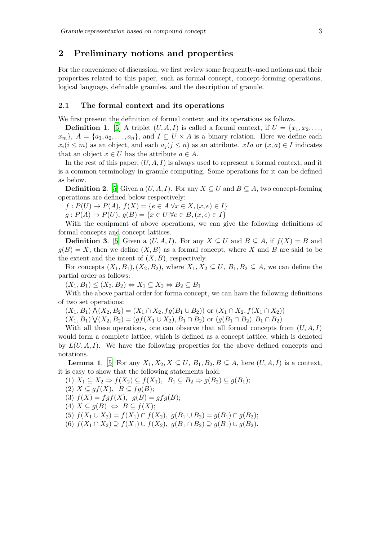# <span id="page-2-0"></span>2 Preliminary notions and properties

For the convenience of discussion, we first review some frequently-used notions and their properties related to this paper, such as formal concept, concept-forming operations, logical language, definable granules, and the description of granule.

## 2.1 The formal context and its operations

We first present the definition of formal context and its operations as follows.

**Definition 1.** [\[5](#page-15-10)] A triplet  $(U, A, I)$  is called a formal context, if  $U = \{x_1, x_2, \ldots, x_n\}$  $x_m$ ,  $A = \{a_1, a_2, \ldots, a_n\}$ , and  $I \subseteq U \times A$  is a binary relation. Here we define each  $x_i(i \leq m)$  as an object, and each  $a_i (i \leq n)$  as an attribute.  $x I_a$  or  $(x, a) \in I$  indicates that an object  $x \in U$  has the attribute  $a \in A$ .

In the rest of this paper,  $(U, A, I)$  is always used to represent a formal context, and it is a common terminology in granule computing. Some operations for it can be defined as below.

**Definition 2.** [\[5](#page-15-10)] Given a  $(U, A, I)$ . For any  $X \subseteq U$  and  $B \subseteq A$ , two concept-forming operations are defined below respectively:

 $f: P(U) \to P(A), f(X) = \{e \in A | \forall x \in X, (x, e) \in I\}$ 

 $g: P(A) \to P(U), g(B) = \{x \in U | \forall e \in B, (x, e) \in I\}$ 

With the equipment of above operations, we can give the following definitions of formal concepts and concept lattices.

**Definition 3.** [\[5](#page-15-10)] Given a  $(U, A, I)$ . For any  $X \subseteq U$  and  $B \subseteq A$ , if  $f(X) = B$  and  $g(B) = X$ , then we define  $(X, B)$  as a formal concept, where X and B are said to be the extent and the intent of  $(X, B)$ , respectively.

For concepts  $(X_1, B_1), (X_2, B_2)$ , where  $X_1, X_2 \subseteq U$ ,  $B_1, B_2 \subseteq A$ , we can define the partial order as follows:

 $(X_1, B_1) \leq (X_2, B_2) \Leftrightarrow X_1 \subseteq X_2 \Leftrightarrow B_2 \subseteq B_1$ 

With the above partial order for forma concept, we can have the following definitions of two set operations:

 $(X_1, B_1) \bigwedge (X_2, B_2) = (X_1 \cap X_2, fg(B_1 \cup B_2))$  or  $(X_1 \cap X_2, f(X_1 \cap X_2))$ 

 $(X_1, B_1) \bigvee (X_2, B_2) = (gf(X_1 \cup X_2), B_1 \cap B_2)$  or  $(g(B_1 \cap B_2), B_1 \cap B_2)$ 

With all these operations, one can observe that all formal concepts from  $(U, A, I)$ would form a complete lattice, which is defined as a concept lattice, which is denoted by  $L(U, A, I)$ . We have the following properties for the above defined concepts and notations.

**Lemma 1.** [\[5](#page-15-10)] For any  $X_1, X_2, X \subseteq U$ ,  $B_1, B_2, B \subseteq A$ , here  $(U, A, I)$  is a context, it is easy to show that the following statements hold:

(1)  $X_1 \subseteq X_2 \Rightarrow f(X_2) \subseteq f(X_1)$ ,  $B_1 \subseteq B_2 \Rightarrow g(B_2) \subseteq g(B_1)$ ;

$$
(2) X \subseteq gf(X), B \subseteq fg(B);
$$

(3)  $f(X) = f g f(X), g(B) = g f g(B);$ 

$$
(4) X \subseteq g(B) \Leftrightarrow B \subseteq f(X);
$$

$$
(5) f(X_1 \cup X_2) = f(X_1) \cap f(X_2), g(B_1 \cup B_2) = g(B_1) \cap g(B_2);
$$

$$
(6) f(X_1 \cap X_2) \supseteq f(X_1) \cup f(X_2), g(B_1 \cap B_2) \supseteq g(B_1) \cup g(B_2).
$$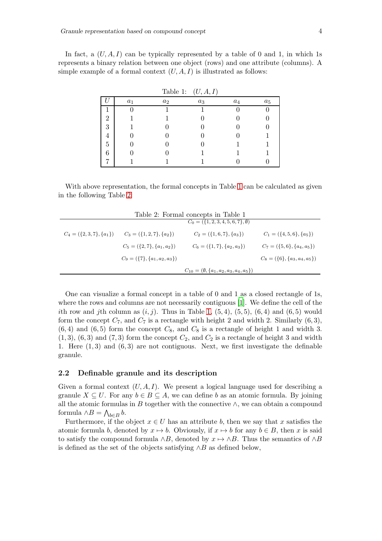In fact, a  $(U, A, I)$  can be typically represented by a table of 0 and 1, in which 1s represents a binary relation between one object (rows) and one attribute (columns). A simple example of a formal context  $(U, A, I)$  is illustrated as follows:

|                |       | rapie 1: | (U, A, I) |       |       |
|----------------|-------|----------|-----------|-------|-------|
|                | $a_1$ | $a_2$    | $a_3$     | $a_4$ | $a_5$ |
|                |       |          |           |       |       |
| $\overline{2}$ |       |          |           |       |       |
| 3              |       |          |           |       |       |
| 4              |       |          |           |       |       |
| 5              |       |          |           |       |       |
| 6              |       |          |           |       |       |
|                |       |          |           |       |       |

<span id="page-3-0"></span> $\text{Table 1:} \quad (U, A, I)$ 

With above representation, the formal concepts in Table [1](#page-3-0) can be calculated as given in the following Table [2:](#page-3-1)

<span id="page-3-1"></span>

| Table 2: Formal concepts in Table 1 |                                    |                                                     |                                    |  |  |  |
|-------------------------------------|------------------------------------|-----------------------------------------------------|------------------------------------|--|--|--|
|                                     |                                    | $C_0 = (\{1, 2, 3, 4, 5, 6, 7\}, \emptyset)$        |                                    |  |  |  |
| $C_4 = (\{2, 3, 7\}, \{a_1\})$      | $C_3 = (\{1, 2, 7\}, \{a_2\})$     | $C_2 = (\{1, 6, 7\}, \{a_3\})$                      | $C_1 = (\{4, 5, 6\}, \{a_5\})$     |  |  |  |
|                                     | $C_5 = (\{2, 7\}, \{a_1, a_2\})$   | $C_6 = (\{1, 7\}, \{a_2, a_3\})$                    | $C_7 = (\{5,6\}, \{a_4, a_5\})$    |  |  |  |
|                                     | $C_9 = (\{7\}, \{a_1, a_2, a_3\})$ |                                                     | $C_8 = (\{6\}, \{a_3, a_4, a_5\})$ |  |  |  |
|                                     |                                    | $C_{10} = (\emptyset, \{a_1, a_2, a_3, a_4, a_5\})$ |                                    |  |  |  |

One can visualize a formal concept in a table of 0 and 1 as a closed rectangle of 1s, where the rows and columns are not necessarily contiguous [\[1](#page-14-0)]. We define the cell of the ith row and jth column as  $(i, j)$ . Thus in Table [1,](#page-3-0)  $(5, 4)$ ,  $(5, 5)$ ,  $(6, 4)$  and  $(6, 5)$  would form the concept  $C_7$ , and  $C_7$  is a rectangle with height 2 and width 2. Similarly  $(6,3)$ ,  $(6, 4)$  and  $(6, 5)$  form the concept  $C_8$ , and  $C_8$  is a rectangle of height 1 and width 3.  $(1, 3)$ ,  $(6, 3)$  and  $(7, 3)$  form the concept  $C_2$ , and  $C_2$  is a rectangle of height 3 and width 1. Here  $(1, 3)$  and  $(6, 3)$  are not contiguous. Next, we first investigate the definable granule.

### 2.2 Definable granule and its description

Given a formal context  $(U, A, I)$ . We present a logical language used for describing a granule  $X \subseteq U$ . For any  $b \in B \subseteq A$ , we can define b as an atomic formula. By joining all the atomic formulas in B together with the connective  $\wedge$ , we can obtain a compound formula  $\wedge B = \bigwedge_{b \in B} b$ .

Furthermore, if the object  $x \in U$  has an attribute b, then we say that x satisfies the atomic formula b, denoted by  $x \mapsto b$ . Obviously, if  $x \mapsto b$  for any  $b \in B$ , then x is said to satisfy the compound formula  $\land B$ , denoted by  $x \mapsto \land B$ . Thus the semantics of  $\land B$ is defined as the set of the objects satisfying  $\land B$  as defined below,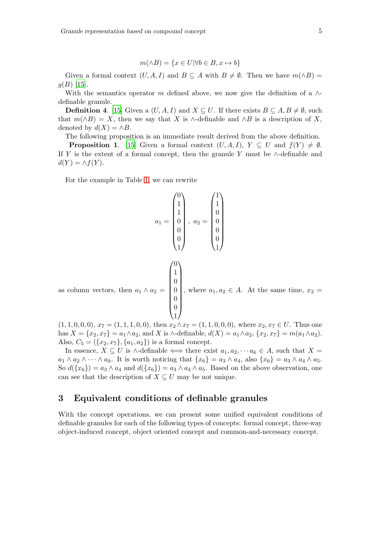$$
m(\land B) = \{x \in U | \forall b \in B, x \mapsto b\}
$$

Given a formal context  $(U, A, I)$  and  $B \subseteq A$  with  $B \neq \emptyset$ . Then we have  $m(\wedge B) =$  $g(B)$  [\[15](#page-15-11)].

With the semantics operator m defined above, we now give the definition of a  $\wedge$ definable granule.

**Definition 4.** [\[15](#page-15-11)] Given a  $(U, A, I)$  and  $X \subseteq U$ . If there exists  $B \subseteq A, B \neq \emptyset$ , such that  $m(\wedge B) = X$ , then we say that X is  $\wedge$ -definable and  $\wedge B$  is a description of X, denoted by  $d(X) = \wedge B$ .

The following proposition is an immediate result derived from the above definition.

**Proposition 1.** [\[15](#page-15-11)] Given a formal context  $(U, A, I)$ ,  $Y \subseteq U$  and  $f(Y) \neq \emptyset$ . If Y is the extent of a formal concept, then the granule Y must be  $\wedge$ -definable and  $d(Y) = \wedge f(Y).$ 

For the example in Table [1,](#page-3-0) we can rewrite

$$
a_1 = \begin{pmatrix} 0 \\ 1 \\ 1 \\ 0 \\ 0 \\ 0 \\ 1 \end{pmatrix}, \ a_2 = \begin{pmatrix} 1 \\ 1 \\ 0 \\ 0 \\ 0 \\ 1 \end{pmatrix}
$$
\nas column vectors, then  $a_1 \wedge a_2 = \begin{pmatrix} 0 \\ 1 \\ 0 \\ 0 \\ 0 \\ 0 \\ 1 \end{pmatrix}$ , where  $a_1, a_2 \in A$ . At the same time,  $x_2 = \begin{pmatrix} 0 \\ 1 \\ 0 \\ 0 \\ 1 \end{pmatrix}$ , where  $a_1, a_2 \in A$ . At the same time,  $x_2 = \begin{pmatrix} 1 & 1 & 0 & 0 & 0 \end{pmatrix}$  where  $x_2, x_1 \in U$ . Thus one

 $(1, 1, 0, 0, 0), x_7 = (1, 1, 1, 0, 0),$  then  $x_2 \wedge x_7 = (1, 1, 0, 0, 0),$  where  $x_2, x_7 \in U$ . Thus one has  $X = \{x_2, x_7\} = a_1 \wedge a_2$ , and X is  $\wedge$ -definable,  $d(X) = a_1 \wedge a_2$ ,  $\{x_2, x_7\} = m(a_1 \wedge a_2)$ . Also,  $C_5 = (\{x_2, x_7\}, \{a_1, a_2\})$  is a formal concept.

In essence,  $X \subseteq U$  is ∧-definable  $\iff$  there exist  $a_1, a_2, \cdots a_k \in A$ , such that  $X =$  $a_1 \wedge a_2 \wedge \cdots \wedge a_k$ . It is worth noticing that  $\{x_6\} = a_3 \wedge a_4$ , also  $\{x_6\} = a_3 \wedge a_4 \wedge a_5$ . So  $d({x_6}) = a_3 \wedge a_4$  and  $d({x_6}) = a_3 \wedge a_4 \wedge a_5$ . Based on the above observation, one can see that the description of  $X \subseteq U$  may be not unique.

# <span id="page-4-0"></span>3 Equivalent conditions of definable granules

With the concept operations, we can present some unified equivalent conditions of definable granules for each of the following types of concepts: formal concept, three-way object-induced concept, object oriented concept and common-and-necessary concept.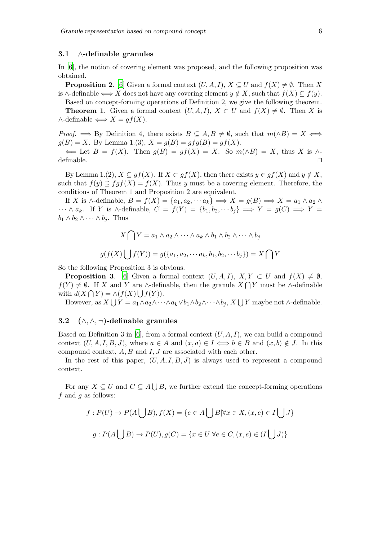#### 3.1 ∧-definable granules

In [\[6\]](#page-15-9), the notion of covering element was proposed, and the following proposition was obtained.

**Proposition 2.** [\[6](#page-15-9)] Given a formal context  $(U, A, I)$ ,  $X \subseteq U$  and  $f(X) \neq \emptyset$ . Then X is ∧-definable  $\Longleftrightarrow X$  does not have any covering element  $y \notin X$ , such that  $f(X) \subseteq f(y)$ .

Based on concept-forming operations of Definition 2, we give the following theorem.

**Theorem 1.** Given a formal context  $(U, A, I)$ ,  $X \subset U$  and  $f(X) \neq \emptyset$ . Then X is  $\wedge$ -definable  $\Longleftrightarrow X = gf(X)$ .

*Proof.*  $\implies$  By Definition 4, there exists  $B \subseteq A, B \neq \emptyset$ , such that  $m(\land B) = X \iff$  $g(B) = X$ . By Lemma 1.(3),  $X = g(B) = gfg(B) = gf(X)$ .

 $\Leftarrow$  Let  $B = f(X)$ . Then  $g(B) = gf(X) = X$ . So  $m(\wedge B) = X$ , thus X is  $\wedge$ definable. □

By Lemma 1.(2),  $X \subseteq gf(X)$ . If  $X \subset gf(X)$ , then there exists  $y \in gf(X)$  and  $y \notin X$ , such that  $f(y) \supseteq fgf(X) = f(X)$ . Thus y must be a covering element. Therefore, the conditions of Theorem 1 and Proposition 2 are equivalent.

If X is  $\wedge$ -definable,  $B = f(X) = \{a_1, a_2, \cdots a_k\} \Longrightarrow X = g(B) \Longrightarrow X = a_1 \wedge a_2 \wedge a_1$  $\cdots \wedge a_k$ . If Y is  $\wedge$ -definable,  $C = f(Y) = \{b_1, b_2, \cdots b_j\} \implies Y = g(C) \implies Y = g(C)$  $b_1 \wedge b_2 \wedge \cdots \wedge b_j$ . Thus

$$
X \bigcap Y = a_1 \wedge a_2 \wedge \cdots \wedge a_k \wedge b_1 \wedge b_2 \wedge \cdots \wedge b_j
$$

$$
g(f(X) \bigcup f(Y)) = g(\{a_1, a_2, \cdots a_k, b_1, b_2, \cdots b_j\}) = X \bigcap Y
$$

So the following Proposition 3 is obvious.

**Proposition 3.** [\[6](#page-15-9)] Given a formal context  $(U, A, I)$ ,  $X, Y \subset U$  and  $f(X) \neq \emptyset$ ,  $f(Y) \neq \emptyset$ . If X and Y are ∧-definable, then the granule  $X \cap Y$  must be ∧-definable with  $d(X \cap Y) = \wedge (f(X) \cup f(Y)).$ 

However, as  $X \bigcup Y = a_1 \wedge a_2 \wedge \cdots \wedge a_k \vee b_1 \wedge b_2 \wedge \cdots \wedge b_j$ ,  $X \bigcup Y$  maybe not  $\wedge$ -definable.

## 3.2 (∧, ∧, ¬)-definable granules

Based on Definition 3 in [\[6\]](#page-15-9), from a formal context  $(U, A, I)$ , we can build a compound context  $(U, A, I, B, J)$ , where  $a \in A$  and  $(x, a) \in I \iff b \in B$  and  $(x, b) \notin J$ . In this compound context,  $A, B$  and  $I, J$  are associated with each other.

In the rest of this paper,  $(U, A, I, B, J)$  is always used to represent a compound context.

For any  $X \subseteq U$  and  $C \subseteq A \bigcup B$ , we further extend the concept-forming operations f and  $q$  as follows:

$$
f: P(U) \to P(A \bigcup B), f(X) = \{e \in A \bigcup B | \forall x \in X, (x, e) \in I \bigcup J\}
$$

$$
g: P(A \bigcup B) \to P(U), g(C) = \{x \in U | \forall e \in C, (x, e) \in (I \bigcup J)\}
$$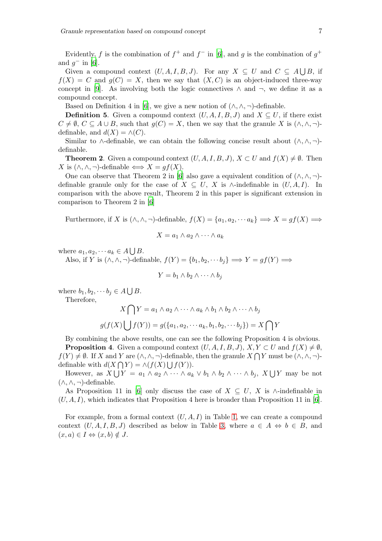Evidently, f is the combination of  $f^+$  and  $f^-$  in [\[6\]](#page-15-9), and g is the combination of  $g^+$ and  $g^-$  in [\[6](#page-15-9)].

Given a compound context  $(U, A, I, B, J)$ . For any  $X \subseteq U$  and  $C \subseteq A \bigcup B$ , if  $f(X) = C$  and  $g(C) = X$ , then we say that  $(X, C)$  is an object-induced three-way concept in [\[9\]](#page-15-12). As involving both the logic connectives  $\wedge$  and  $\neg$ , we define it as a compound concept.

Based on Definition 4 in [\[6\]](#page-15-9), we give a new notion of  $(\wedge, \wedge, \neg)$ -definable.

**Definition 5.** Given a compound context  $(U, A, I, B, J)$  and  $X \subseteq U$ , if there exist  $C \neq \emptyset$ ,  $C \subseteq A \cup B$ , such that  $g(C) = X$ , then we say that the granule X is  $(\wedge, \wedge, \neg)$ definable, and  $d(X) = \wedge(C)$ .

Similar to ∧-definable, we can obtain the following concise result about  $(\wedge, \wedge, \neg)$ definable.

**Theorem 2.** Given a compound context  $(U, A, I, B, J)$ ,  $X \subset U$  and  $f(X) \neq \emptyset$ . Then X is  $(\wedge, \wedge, \neg)$ -definable  $\iff X = af(X)$ .

One can observe that Theorem 2 in [\[6\]](#page-15-9) also gave a equivalent condition of  $(\wedge, \wedge, \neg)$ definable granule only for the case of  $X \subseteq U$ , X is ∧-indefinable in  $(U, A, I)$ . In comparison with the above result, Theorem 2 in this paper is significant extension in comparison to Theorem 2 in [\[6](#page-15-9)]

Furthermore, if X is  $(\wedge, \wedge, \neg)$ -definable,  $f(X) = \{a_1, a_2, \cdots a_k\} \Longrightarrow X = gf(X) \Longrightarrow$ 

$$
X = a_1 \wedge a_2 \wedge \cdots \wedge a_k
$$

where  $a_1, a_2, \cdots a_k \in A \bigcup B$ .

Also, if Y is  $(\wedge, \wedge, \neg)$ -definable,  $f(Y) = \{b_1, b_2, \cdots, b_j\} \Longrightarrow Y = gf(Y) \Longrightarrow$ 

$$
Y = b_1 \wedge b_2 \wedge \cdots \wedge b_j
$$

where  $b_1, b_2, \cdots b_j \in A \bigcup B$ .

Therefore,

$$
X \bigcap Y = a_1 \wedge a_2 \wedge \cdots \wedge a_k \wedge b_1 \wedge b_2 \wedge \cdots \wedge b_j
$$

$$
g(f(X) \bigcup f(Y)) = g(\{a_1, a_2, \cdots a_k, b_1, b_2, \cdots b_j\}) = X \bigcap Y
$$

By combining the above results, one can see the following Proposition 4 is obvious.

**Proposition 4.** Given a compound context  $(U, A, I, B, J)$ ,  $X, Y \subset U$  and  $f(X) \neq \emptyset$ ,  $f(Y) \neq \emptyset$ . If X and Y are  $(\wedge, \wedge, \neg)$ -definable, then the granule  $X \bigcap Y$  must be  $(\wedge, \wedge, \neg)$ definable with  $d(X \cap Y) = \wedge (f(X) \bigcup f(Y)).$ 

However, as  $X \bigcup Y = a_1 \wedge a_2 \wedge \cdots \wedge a_k \vee b_1 \wedge b_2 \wedge \cdots \wedge b_j$ ,  $X \bigcup Y$  may be not  $(∧, ∧, ¬)$ -definable.

As Proposition 11 in [\[6\]](#page-15-9) only discuss the case of  $X \subseteq U$ , X is ∧-indefinable in  $(U, A, I)$ , which indicates that Proposition 4 here is broader than Proposition 11 in [\[6\]](#page-15-9).

For example, from a formal context  $(U, A, I)$  in Table [1,](#page-3-0) we can create a compound context  $(U, A, I, B, J)$  described as below in Table [3,](#page-7-0) where  $a \in A \Leftrightarrow b \in B$ , and  $(x, a) \in I \Leftrightarrow (x, b) \notin J.$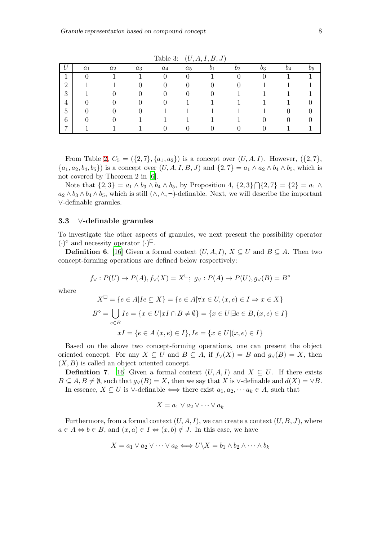|                | $a_1$ | $a_2$ | $a_3$ | $a_4$ | $a_5$ | $\overline{b_2}$ | $v_3$ | $\overline{b_4}$ | 25 |
|----------------|-------|-------|-------|-------|-------|------------------|-------|------------------|----|
| J.             |       |       |       |       |       |                  |       |                  |    |
| $\overline{2}$ |       |       |       |       |       |                  |       |                  |    |
| 3              |       |       |       |       |       |                  |       |                  |    |
| $\overline{4}$ |       |       |       |       |       |                  |       |                  |    |
| 5              |       |       |       |       |       |                  |       |                  |    |
| 6              |       |       |       |       |       |                  |       |                  |    |
| $\overline{ }$ |       |       |       |       |       |                  |       |                  |    |

<span id="page-7-0"></span>Table 3:  $(U, A, I, B, J)$ 

From Table [2,](#page-3-1)  $C_5 = (\{2, 7\}, \{a_1, a_2\})$  is a concept over  $(U, A, I)$ . However,  $(\{2, 7\},\$  $\{a_1, a_2, b_4, b_5\}$  is a concept over  $(U, A, I, B, J)$  and  $\{2, 7\} = a_1 \wedge a_2 \wedge b_4 \wedge b_5$ , which is not covered by Theorem 2 in [\[6\]](#page-15-9).

Note that  $\{2,3\} = a_1 \wedge b_3 \wedge b_4 \wedge b_5$ , by Proposition 4,  $\{2,3\} \cap \{2,7\} = \{2\} = a_1 \wedge b_3$  $a_2 \wedge b_3 \wedge b_4 \wedge b_5$ , which is still  $(\wedge, \wedge, \neg)$ -definable. Next, we will describe the important ∨-definable granules.

## 3.3 ∨-definable granules

To investigate the other aspects of granules, we next present the possibility operator  $(\cdot)^\diamond$  and necessity operator  $(\cdot)^\square$ .

**Definition 6.** [\[16\]](#page-15-13) Given a formal context  $(U, A, I)$ ,  $X \subseteq U$  and  $B \subseteq A$ . Then two concept-forming operations are defined below respectively:

$$
f_{\vee}: P(U) \to P(A), f_{\vee}(X) = X^{\square}; g_{\vee}: P(A) \to P(U), g_{\vee}(B) = B^{\circ}
$$

where

$$
X^{\square} = \{e \in A | Ie \subseteq X\} = \{e \in A | \forall x \in U, (x, e) \in I \Rightarrow x \in X\}
$$

$$
B^{\diamond} = \bigcup_{e \in B} Ie = \{x \in U | xI \cap B \neq \emptyset\} = \{x \in U | \exists e \in B, (x, e) \in I\}
$$

$$
xI = \{e \in A | (x, e) \in I\}, Ie = \{x \in U | (x, e) \in I\}
$$

Based on the above two concept-forming operations, one can present the object oriented concept. For any  $X \subseteq U$  and  $B \subseteq A$ , if  $f_V(X) = B$  and  $g_V(B) = X$ , then  $(X, B)$  is called an object oriented concept.

**Definition 7.** [\[16](#page-15-13)] Given a formal context  $(U, A, I)$  and  $X \subseteq U$ . If there exists  $B \subseteq A, B \neq \emptyset$ , such that  $g_{\vee}(B) = X$ , then we say that X is  $\vee$ -definable and  $d(X) = \vee B$ . In essence,  $X \subseteq U$  is  $\vee$ -definable  $\iff$  there exist  $a_1, a_2, \cdots a_k \in A$ , such that

$$
X = a_1 \vee a_2 \vee \cdots \vee a_k
$$

Furthermore, from a formal context  $(U, A, I)$ , we can create a context  $(U, B, J)$ , where  $a \in A \Leftrightarrow b \in B$ , and  $(x, a) \in I \Leftrightarrow (x, b) \notin J$ . In this case, we have

$$
X = a_1 \vee a_2 \vee \cdots \vee a_k \Longleftrightarrow U \backslash X = b_1 \wedge b_2 \wedge \cdots \wedge b_k
$$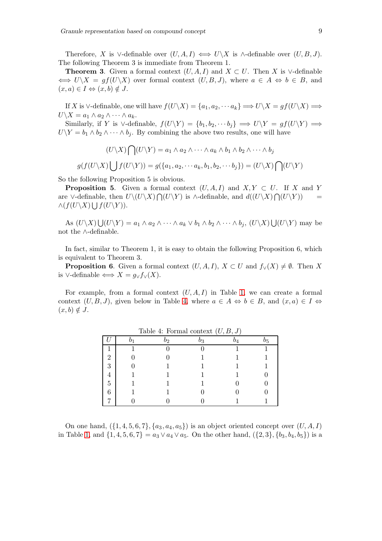Therefore, X is ∨-definable over  $(U, A, I) \iff U\setminus X$  is  $\wedge$ -definable over  $(U, B, J)$ . The following Theorem 3 is immediate from Theorem 1.

**Theorem 3.** Given a formal context  $(U, A, I)$  and  $X \subset U$ . Then X is  $\vee$ -definable  $\iff U\setminus X = gf(U\setminus X)$  over formal context  $(U, B, J)$ , where  $a \in A \iff b \in B$ , and  $(x, a) \in I \Leftrightarrow (x, b) \notin J.$ 

If X is  $\vee$ -definable, one will have  $f(U\setminus X) = \{a_1, a_2, \cdots a_k\} \Longrightarrow U\setminus X = gf(U\setminus X) \Longrightarrow$  $U\backslash X = a_1 \wedge a_2 \wedge \cdots \wedge a_k.$ 

Similarly, if Y is ∨-definable,  $f(U\Y) = \{b_1, b_2, \cdots b_j\} \implies U\Y = gf(U\Y) \implies$  $U\Y = b_1 \wedge b_2 \wedge \cdots \wedge b_j$ . By combining the above two results, one will have

$$
(U \setminus X) \bigcap (U \setminus Y) = a_1 \wedge a_2 \wedge \cdots \wedge a_k \wedge b_1 \wedge b_2 \wedge \cdots \wedge b_j
$$

$$
g(f(U \setminus X) \bigcup f(U \setminus Y)) = g(\{a_1, a_2, \cdots a_k, b_1, b_2, \cdots b_j\}) = (U \setminus X) \bigcap (U \setminus Y)
$$

So the following Proposition 5 is obvious.

**Proposition 5.** Given a formal context  $(U, A, I)$  and  $X, Y \subset U$ . If X and Y are ∨-definable, then  $U\setminus (U\setminus X)\bigcap (U\setminus Y)$  is ∧-definable, and  $d((U\setminus X)\bigcap (U\setminus Y))$  =  $\wedge (f(U\backslash X)\bigcup f(U\backslash Y)).$ 

As  $(U \setminus X) \bigcup (U \setminus Y) = a_1 \wedge a_2 \wedge \cdots \wedge a_k \vee b_1 \wedge b_2 \wedge \cdots \wedge b_j$ ,  $(U \setminus X) \bigcup (U \setminus Y)$  may be not the ∧-definable.

In fact, similar to Theorem 1, it is easy to obtain the following Proposition 6, which is equivalent to Theorem 3.

**Proposition 6.** Given a formal context  $(U, A, I)$ ,  $X \subset U$  and  $f_{\vee}(X) \neq \emptyset$ . Then X is ∨-definable  $\Longleftrightarrow X = g_{\vee} f_{\vee}(X)$ .

For example, from a formal context  $(U, A, I)$  in Table [1,](#page-3-0) we can create a formal context  $(U, B, J)$ , given below in Table [4,](#page-8-0) where  $a \in A \Leftrightarrow b \in B$ , and  $(x, a) \in I \Leftrightarrow$  $(x, b) \notin J$ .

|   | $\frac{1}{2}$ |   |   |
|---|---------------|---|---|
|   | רי            | Ŗ | 5 |
|   |               |   |   |
| 2 |               |   |   |
| 3 |               |   |   |
|   |               |   |   |
| 5 |               |   |   |
| h |               |   |   |
|   |               |   |   |

<span id="page-8-0"></span>Table 4: Formal context  $(II, B, J)$ 

On one hand,  $({1, 4, 5, 6, 7}, {a_3, a_4, a_5})$  is an object oriented concept over  $(U, A, I)$ in Table [1,](#page-3-0) and  $\{1, 4, 5, 6, 7\} = a_3 \vee a_4 \vee a_5$ . On the other hand,  $(\{2, 3\}, \{b_3, b_4, b_5\})$  is a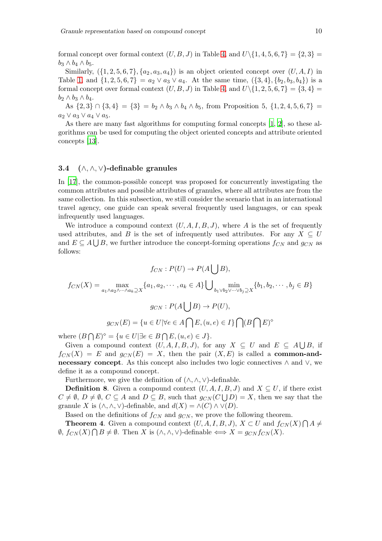formal concept over formal context  $(U, B, J)$  in Table [4,](#page-8-0) and  $U\setminus\{1, 4, 5, 6, 7\} = \{2, 3\}$  $b_3 \wedge b_4 \wedge b_5$ .

Similarly,  $({1, 2, 5, 6, 7}, {a_2, a_3, a_4})$  is an object oriented concept over  $(U, A, I)$  in Table [1,](#page-3-0) and  $\{1, 2, 5, 6, 7\} = a_2 \vee a_3 \vee a_4$ . At the same time,  $(\{3, 4\}, \{b_2, b_3, b_4\})$  is a formal concept over formal context  $(U, B, J)$  in Table [4,](#page-8-0) and  $U\setminus\{1, 2, 5, 6, 7\} = \{3, 4\}$  $b_2 \wedge b_3 \wedge b_4$ .

As  $\{2,3\} \cap \{3,4\} = \{3\} = b_2 \wedge b_3 \wedge b_4 \wedge b_5$ , from Proposition 5,  $\{1,2,4,5,6,7\}$  $a_2 \vee a_3 \vee a_4 \vee a_5.$ 

As there are many fast algorithms for computing formal concepts [\[1](#page-14-0), [2](#page-14-1)], so these algorithms can be used for computing the object oriented concepts and attribute oriented concepts [\[13\]](#page-15-14).

## 3.4 (∧, ∧, ∨)-definable granules

In [\[17\]](#page-15-8), the common-possible concept was proposed for concurrently investigating the common attributes and possible attributes of granules, where all attributes are from the same collection. In this subsection, we still consider the scenario that in an international travel agency, one guide can speak several frequently used languages, or can speak infrequently used languages.

We introduce a compound context  $(U, A, I, B, J)$ , where A is the set of frequently used attributes, and B is the set of infrequently used attributes. For any  $X \subseteq U$ and  $E \subseteq A \cup B$ , we further introduce the concept-forming operations  $f_{CN}$  and  $g_{CN}$  as follows:

$$
f_{CN}: P(U) \to P(A \bigcup B),
$$
  

$$
f_{CN}(X) = \max_{a_1 \wedge a_2 \wedge \cdots \wedge a_k \supseteq X} \{a_1, a_2, \cdots, a_k \in A\} \bigcup_{b_1 \vee b_2 \vee \cdots \vee b_j \supseteq X} \{b_1, b_2, \cdots, b_j \in B\}
$$
  

$$
g_{CN}: P(A \bigcup B) \to P(U),
$$
  

$$
g_{CN}(E) = \{u \in U | \forall e \in A \bigcap E, (u, e) \in I\} \bigcap (B \bigcap E)^\circ
$$

where  $(B \cap E)^{\diamond} = \{u \in U | \exists e \in B \cap E, (u, e) \in J\}.$ 

Given a compound context  $(U, A, I, B, J)$ , for any  $X \subseteq U$  and  $E \subseteq A \bigcup B$ , if  $f_{CN}(X) = E$  and  $g_{CN}(E) = X$ , then the pair  $(X, E)$  is called a **common-and**necessary concept. As this concept also includes two logic connectives  $\land$  and  $\lor$ , we define it as a compound concept.

Furthermore, we give the definition of  $(\wedge, \wedge, \vee)$ -definable.

**Definition 8.** Given a compound context  $(U, A, I, B, J)$  and  $X \subseteq U$ , if there exist  $C \neq \emptyset$ ,  $D \neq \emptyset$ ,  $C \subseteq A$  and  $D \subseteq B$ , such that  $g_{CN}(C \bigcup D) = X$ , then we say that the granule X is  $(\wedge, \wedge, \vee)$ -definable, and  $d(X) = \wedge(C) \wedge \vee(D)$ .

Based on the definitions of  $f_{CN}$  and  $g_{CN}$ , we prove the following theorem.

**Theorem 4.** Given a compound context  $(U, A, I, B, J)$ ,  $X \subset U$  and  $f_{CN}(X) \cap A \neq$  $\emptyset$ ,  $f_{CN}(X) \bigcap B \neq \emptyset$ . Then X is  $(\wedge, \wedge, \vee)$ -definable  $\iff X = g_{CN} f_{CN}(X)$ .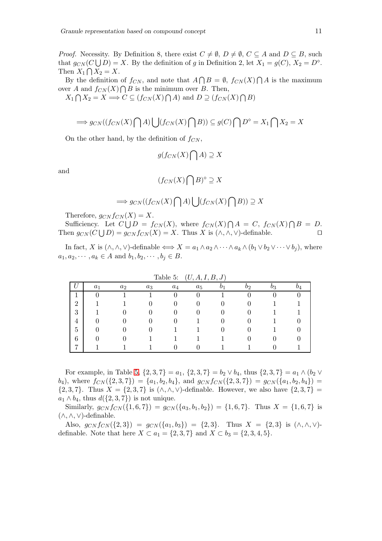*Proof.* Necessity. By Definition 8, there exist  $C \neq \emptyset$ ,  $D \neq \emptyset$ ,  $C \subseteq A$  and  $D \subseteq B$ , such that  $g_{CN}(C \bigcup D) = X$ . By the definition of g in Definition 2, let  $X_1 = g(C)$ ,  $X_2 = D^{\diamond}$ . Then  $X_1 \bigcap X_2 = X$ .

By the definition of  $f_{CN}$ , and note that  $A \cap B = \emptyset$ ,  $f_{CN}(X) \cap A$  is the maximum over A and  $f_{CN}(X) \bigcap B$  is the minimum over B. Then,

 $X_1 \bigcap X_2 = X \Longrightarrow C \subseteq (f_{CN}(X) \bigcap A)$  and  $D \supseteq (f_{CN}(X) \bigcap B)$ 

$$
\implies g_{CN}((f_{CN}(X)\bigcap A)\bigcup (f_{CN}(X)\bigcap B)) \subseteq g(C)\bigcap D^{\diamond} = X_1 \bigcap X_2 = X
$$

On the other hand, by the definition of  $f_{CN}$ ,

$$
g(f_{CN}(X)\bigcap A)\supseteq X
$$

and

$$
(f_{CN}(X)\bigcap B)^\diamond\supseteq X
$$

$$
\implies g_{CN}((f_{CN}(X)\bigcap A)\bigcup (f_{CN}(X)\bigcap B))\supseteq X
$$

Therefore,  $q_{CN} f_{CN}(X) = X$ .

Sufficiency. Let  $C \bigcup D = f_{CN}(X)$ , where  $f_{CN}(X) \bigcap A = C$ ,  $f_{CN}(X) \bigcap B = D$ . Then  $g_{CN}(C \bigcup D) = g_{CN} f_{CN}(X) = X$ . Thus X is  $(\wedge, \wedge, \vee)$ -definable. □

In fact, X is  $(\wedge, \wedge, \vee)$ -definable  $\iff X = a_1 \wedge a_2 \wedge \cdots \wedge a_k \wedge (b_1 \vee b_2 \vee \cdots \vee b_i)$ , where  $a_1, a_2, \cdots, a_k \in A$  and  $b_1, b_2, \cdots, b_j \in B$ .

|                |       |       |       | rapie o: | (U, A, I, D, J) |    |  |
|----------------|-------|-------|-------|----------|-----------------|----|--|
|                | $a_1$ | $a_2$ | $a_3$ | $a_4$    | $a_5$           | 92 |  |
|                |       |       |       |          |                 |    |  |
| റ<br>∠         |       |       |       |          |                 |    |  |
| 3              |       |       |       |          |                 |    |  |
| 4              |       |       |       |          |                 |    |  |
| 5              |       |       |       |          |                 |    |  |
| 6              |       |       |       |          |                 |    |  |
| $\overline{ }$ |       |       |       |          |                 |    |  |

<span id="page-10-0"></span>Table 5:  $(II A I B I)$ 

For example, in Table [5,](#page-10-0)  $\{2,3,7\} = a_1$ ,  $\{2,3,7\} = b_2 \vee b_4$ , thus  $\{2,3,7\} = a_1 \wedge (b_2 \vee b_4)$  $(b_4)$ , where  $f_{CN}(\{2,3,7\}) = \{a_1,b_2,b_4\}$ , and  $g_{CN}f_{CN}(\{2,3,7\}) = g_{CN}(\{a_1,b_2,b_4\})$  ${2, 3, 7}$ . Thus  $X = {2, 3, 7}$  is  $(\wedge, \wedge, \vee)$ -definable. However, we also have  ${2, 3, 7}$  =  $a_1 \wedge b_4$ , thus  $d({2, 3, 7})$  is not unique.

Similarly,  $g_{CN} f_{CN}(\{1,6,7\}) = g_{CN}(\{a_3,b_1,b_2\}) = \{1,6,7\}$ . Thus  $X = \{1,6,7\}$  is (∧,∧,∨)-definable.

Also,  $g_{CN} f_{CN}(\{2,3\}) = g_{CN}(\{a_1,b_3\}) = \{2,3\}.$  Thus  $X = \{2,3\}$  is  $(\wedge, \wedge, \vee)$ definable. Note that here  $X \subset a_1 = \{2, 3, 7\}$  and  $X \subset b_3 = \{2, 3, 4, 5\}.$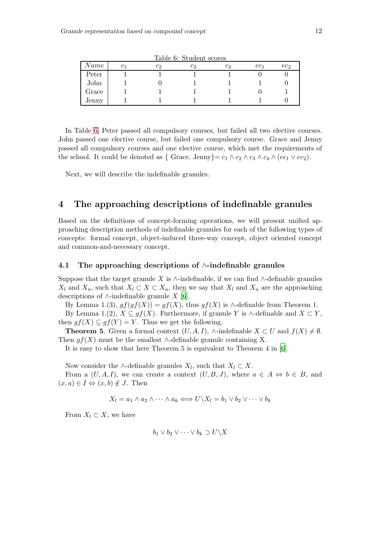| Name  | U |  | $c_A$ | ec1 | $ec_2$ |
|-------|---|--|-------|-----|--------|
| Peter |   |  |       |     |        |
| John  |   |  |       |     |        |
| Grace |   |  |       |     |        |
| Jenny |   |  |       |     |        |

<span id="page-11-1"></span>Table 6: Student scores

In Table [6,](#page-11-1) Peter passed all compulsory courses, but failed all two elective courses. John passed one elective course, but failed one compulsory course. Grace and Jenny passed all compulsory courses and one elective course, which met the requirements of the school. It could be denoted as { Grace, Jenny}=  $c_1 \wedge c_2 \wedge c_3 \wedge c_4 \wedge (ec_1 \vee ec_2)$ .

Next, we will describe the indefinable granules.

# <span id="page-11-0"></span>4 The approaching descriptions of indefinable granules

Based on the definitions of concept-forming operations, we will present unified approaching description methods of indefinable granules for each of the following types of concepts: formal concept, object-induced three-way concept, object oriented concept and common-and-necessary concept.

## 4.1 The approaching descriptions of ∧-indefinable granules

Suppose that the target granule X is  $\wedge$ -indefinable, if we can find  $\wedge$ -definable granules  $X_l$  and  $X_u$ , such that  $X_l \subset X \subset X_u$ , then we say that  $X_l$  and  $X_u$  are the approaching descriptions of  $\wedge$ -indefinable granule X [\[6\]](#page-15-9).

By Lemma 1.(3),  $gf(gf(X)) = gf(X)$ , thus  $gf(X)$  is ∧-definable from Theorem 1. By Lemma 1.(2),  $X \subseteq gf(X)$ . Furthermore, if granule Y is ∧-definable and  $X \subset Y$ , then  $gf(X) \subseteq gf(Y) = Y$ . Thus we get the following.

**Theorem 5.** Given a formal context  $(U, A, I)$ , ∧-indefinable  $X \subset U$  and  $f(X) \neq \emptyset$ . Then  $gf(X)$  must be the smallest ∧-definable granule containing X.

It is easy to show that here Theorem 5 is equivalent to Theorem 4 in [\[6\]](#page-15-9).

Now consider the ∧-definable granules  $X_l$ , such that  $X_l \subset X$ .

From a  $(U, A, I)$ , we can create a context  $(U, B, J)$ , where  $a \in A \Leftrightarrow b \in B$ , and  $(x, a) \in I \Leftrightarrow (x, b) \notin J$ . Then

$$
X_l = a_1 \wedge a_2 \wedge \cdots \wedge a_k \Longleftrightarrow U \backslash X_l = b_1 \vee b_2 \vee \cdots \vee b_k
$$

From  $X_l \subset X$ , we have

$$
b_1 \vee b_2 \vee \cdots \vee b_k \supset U \backslash X
$$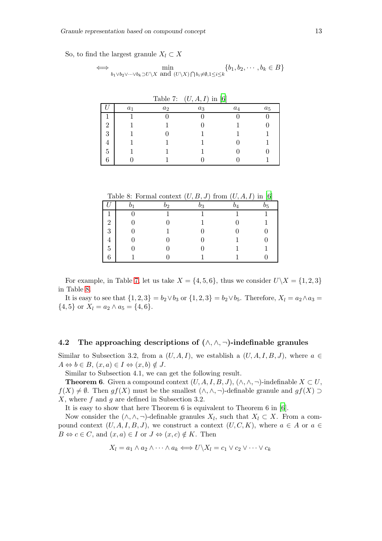So, to find the largest granule  $X_l \subset X$ 

$$
\iff \min_{b_1 \vee b_2 \vee \cdots \vee b_k \supset U \setminus X} \min_{\{U \setminus X\} \cap b_i \neq \emptyset, 1 \leq i \leq k} \{b_1, b_2, \cdots, b_k \in B\}
$$

|                |       |       | Lable 1. $(U, A, I)$ III [0] |       |       |
|----------------|-------|-------|------------------------------|-------|-------|
|                | $a_1$ | $a_2$ | $a_3$                        | $a_4$ | $a_5$ |
|                |       |       |                              |       |       |
| $\overline{2}$ |       |       |                              |       |       |
| 3              |       |       |                              |       |       |
| 4              |       |       |                              |       |       |
| 5              |       |       |                              |       |       |
| 6              |       |       |                              |       |       |

<span id="page-12-0"></span>Table 7:  $(II \, A \, I)$  in  $[6]$ 

<span id="page-12-1"></span>Table 8: Formal context  $(U, B, J)$  from  $(U, A, I)$  in [\[6\]](#page-15-9)

|                | Dэ | 03 | 15 |
|----------------|----|----|----|
|                |    |    |    |
| $\overline{2}$ |    |    |    |
| 3              |    |    |    |
| 4              |    |    |    |
| 5              |    |    |    |
| 6              |    |    |    |

For example, in Table [7,](#page-12-0) let us take  $X = \{4, 5, 6\}$ , thus we consider  $U \setminus X = \{1, 2, 3\}$ in Table [8.](#page-12-1)

It is easy to see that  $\{1, 2, 3\} = b_2 \vee b_3$  or  $\{1, 2, 3\} = b_2 \vee b_5$ . Therefore,  $X_l = a_2 \wedge a_3 =$  $\{4, 5\}$  or  $X_l = a_2 \wedge a_5 = \{4, 6\}.$ 

# 4.2 The approaching descriptions of  $(\wedge, \wedge, \neg)$ -indefinable granules

Similar to Subsection 3.2, from a  $(U, A, I)$ , we establish a  $(U, A, I, B, J)$ , where  $a \in$  $A \Leftrightarrow b \in B$ ,  $(x, a) \in I \Leftrightarrow (x, b) \notin J$ .

Similar to Subsection 4.1, we can get the following result.

**Theorem 6.** Given a compound context  $(U, A, I, B, J)$ ,  $(\wedge, \wedge, \neg)$ -indefinable  $X \subset U$ ,  $f(X) \neq \emptyset$ . Then  $gf(X)$  must be the smallest  $(\wedge, \wedge, \neg)$ -definable granule and  $gf(X) \supset$ X, where f and g are defined in Subsection 3.2.

It is easy to show that here Theorem 6 is equivalent to Theorem 6 in [\[6\]](#page-15-9).

Now consider the  $(\wedge, \wedge, \neg)$ -definable granules  $X_l$ , such that  $X_l \subset X$ . From a compound context  $(U, A, I, B, J)$ , we construct a context  $(U, C, K)$ , where  $a \in A$  or  $a \in$  $B \Leftrightarrow c \in C$ , and  $(x, a) \in I$  or  $J \Leftrightarrow (x, c) \notin K$ . Then

$$
X_l = a_1 \wedge a_2 \wedge \cdots \wedge a_k \Longleftrightarrow U \backslash X_l = c_1 \vee c_2 \vee \cdots \vee c_k
$$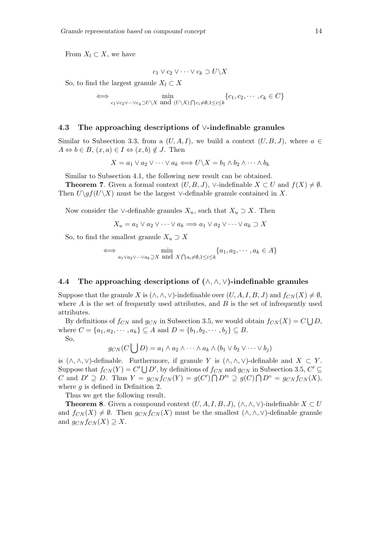From  $X_l \subset X$ , we have

$$
c_1 \vee c_2 \vee \cdots \vee c_k \supset U \backslash X
$$

So, to find the largest granule  $X_l \subset X$ 

⇐⇒ min  $c_1 \vee c_2 \vee \cdots \vee c_k \supset U \setminus X$  and  $(U \setminus X) \bigcap c_i \neq \emptyset, 1 \leq i \leq k$  $\{c_1, c_2, \cdots, c_k \in C\}$ 

### 4.3 The approaching descriptions of ∨-indefinable granules

Similar to Subsection 3.3, from a  $(U, A, I)$ , we build a context  $(U, B, J)$ , where  $a \in$  $A \Leftrightarrow b \in B$ ,  $(x, a) \in I \Leftrightarrow (x, b) \notin J$ . Then

$$
X = a_1 \vee a_2 \vee \cdots \vee a_k \Longleftrightarrow U \backslash X = b_1 \wedge b_2 \wedge \cdots \wedge b_k
$$

Similar to Subsection 4.1, the following new result can be obtained.

**Theorem 7.** Given a formal context  $(U, B, J)$ ,  $\vee$ -indefinable  $X \subset U$  and  $f(X) \neq \emptyset$ . Then  $U\gtrsim g f(U\setminus X)$  must be the largest ∨-definable granule contained in X.

Now consider the ∨-definable granules  $X_u$ , such that  $X_u \supset X$ . Then

$$
X_u = a_1 \vee a_2 \vee \dots \vee a_k \Longrightarrow a_1 \vee a_2 \vee \dots \vee a_k \supset X
$$

So, to find the smallest granule  $X_u \supset X$ 

$$
\iff \min_{a_1 \lor a_2 \lor \cdots \lor a_k \supseteq X \text{ and } X \bigcap a_i \neq \emptyset, 1 \leq i \leq k} \{a_1, a_2, \cdots, a_k \in A\}
$$

### 4.4 The approaching descriptions of  $(\wedge, \wedge, \vee)$ -indefinable granules

Suppose that the granule X is  $(\wedge, \wedge, \vee)$ -indefinable over  $(U, A, I, B, J)$  and  $f_{CN}(X) \neq \emptyset$ , where  $A$  is the set of frequently used attributes, and  $B$  is the set of infrequently used attributes.

By definitions of  $f_{CN}$  and  $g_{CN}$  in Subsection 3.5, we would obtain  $f_{CN}(X) = C \bigcup D$ , where  $C = \{a_1, a_2, \dots, a_k\} \subseteq A$  and  $D = \{b_1, b_2, \dots, b_j\} \subseteq B$ .

So,

$$
g_{CN}(C \bigcup D) = a_1 \wedge a_2 \wedge \cdots \wedge a_k \wedge (b_1 \vee b_2 \vee \cdots \vee b_j)
$$

is  $(\wedge, \wedge, \vee)$ -definable. Furthermore, if granule Y is  $(\wedge, \wedge, \vee)$ -definable and  $X \subset Y$ . Suppose that  $f_{CN}(Y) = C' \bigcup D'$ , by definitions of  $f_{CN}$  and  $g_{CN}$  in Subsection 3.5,  $C' \subseteq$ C and  $D' \supseteq D$ . Thus  $Y = g_{CN} f_{CN}(Y) = g(C') \cap D'^{\diamond} \supseteq g(C) \cap D^{\diamond} = g_{CN} f_{CN}(X)$ , where  $q$  is defined in Definition 2.

Thus we get the following result.

**Theorem 8.** Given a compound context  $(U, A, I, B, J)$ ,  $(\wedge, \wedge, \vee)$ -indefinable  $X \subset U$ and  $f_{CN}(X) \neq \emptyset$ . Then  $g_{CN} f_{CN}(X)$  must be the smallest  $(\wedge, \wedge, \vee)$ -definable granule and  $g_{CN} f_{CN}(X) \supseteq X$ .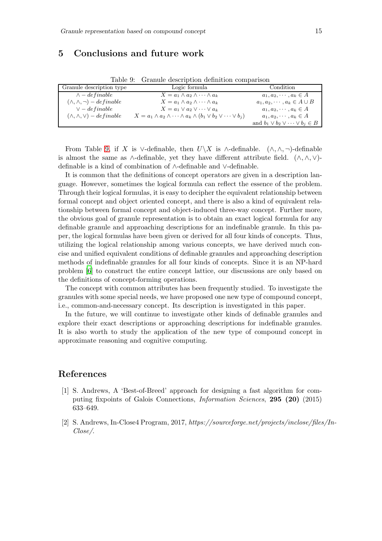# <span id="page-14-2"></span>5 Conclusions and future work

<span id="page-14-3"></span>

|  |  | Table 9: Granule description definition comparison |
|--|--|----------------------------------------------------|
|  |  |                                                    |
|  |  |                                                    |

| Granule description type              | Logic formula                                                                            | Condition                                     |
|---------------------------------------|------------------------------------------------------------------------------------------|-----------------------------------------------|
| $\wedge$ – definable                  | $X = a_1 \wedge a_2 \wedge \cdots \wedge a_k$                                            | $a_1, a_2, \cdots, a_k \in A$                 |
| $(\wedge, \wedge, \neg) - definable$  | $X = a_1 \wedge a_2 \wedge \cdots \wedge a_k$                                            | $a_1, a_2, \cdots, a_k \in A \cup B$          |
| $\vee$ – definable                    | $X = a_1 \vee a_2 \vee \cdots \vee a_k$                                                  | $a_1, a_2, \cdots, a_k \in A$                 |
| $(\wedge, \wedge, \vee) - defineable$ | $X = a_1 \wedge a_2 \wedge \cdots \wedge a_k \wedge (b_1 \vee b_2 \vee \cdots \vee b_i)$ | $a_1, a_2, \cdots, a_k \in A$                 |
|                                       |                                                                                          | and $b_1 \vee b_2 \vee \cdots \vee b_j \in B$ |

From Table [9,](#page-14-3) if X is ∨-definable, then  $U\ X$  is  $\wedge$ -definable.  $(\wedge, \wedge, \neg)$ -definable is almost the same as  $\wedge$ -definable, yet they have different attribute field.  $(\wedge, \wedge, \vee)$ definable is a kind of combination of ∧-definable and ∨-definable.

It is common that the definitions of concept operators are given in a description language. However, sometimes the logical formula can reflect the essence of the problem. Through their logical formulas, it is easy to decipher the equivalent relationship between formal concept and object oriented concept, and there is also a kind of equivalent relationship between formal concept and object-induced three-way concept. Further more, the obvious goal of granule representation is to obtain an exact logical formula for any definable granule and approaching descriptions for an indefinable granule. In this paper, the logical formulas have been given or derived for all four kinds of concepts. Thus, utilizing the logical relationship among various concepts, we have derived much concise and unified equivalent conditions of definable granules and approaching description methods of indefinable granules for all four kinds of concepts. Since it is an NP-hard problem [\[6](#page-15-9)] to construct the entire concept lattice, our discussions are only based on the definitions of concept-forming operations.

The concept with common attributes has been frequently studied. To investigate the granules with some special needs, we have proposed one new type of compound concept, i.e., common-and-necessary concept. Its description is investigated in this paper.

In the future, we will continue to investigate other kinds of definable granules and explore their exact descriptions or approaching descriptions for indefinable granules. It is also worth to study the application of the new type of compound concept in approximate reasoning and cognitive computing.

## References

- <span id="page-14-0"></span>[1] S. Andrews, A 'Best-of-Breed' approach for designing a fast algorithm for computing fixpoints of Galois Connections, *Information Sciences*, 295 (20) (2015) 633–649.
- <span id="page-14-1"></span>[2] S. Andrews, In-Close4 Program, 2017, *https://sourceforge.net/projects/inclose/files/In-Close/*.